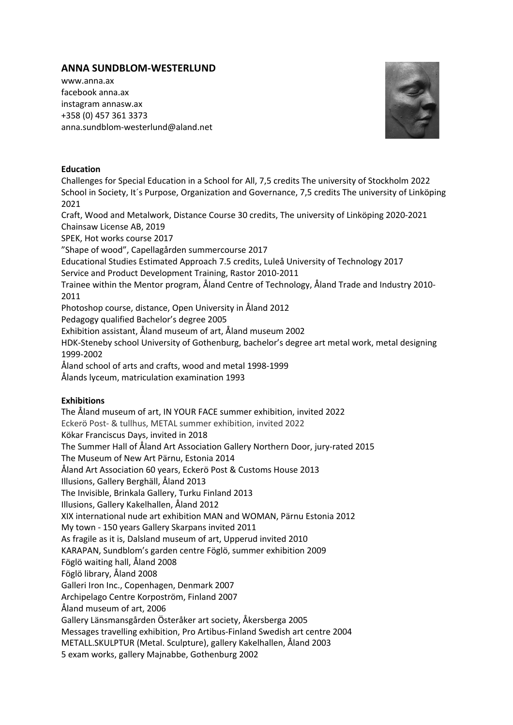# **ANNA SUNDBLOM-WESTERLUND**

www.anna.ax facebook anna.ax instagram annasw.ax +358 (0) 457 361 3373 anna.sundblom-westerlund@aland.net



#### **Education**

Challenges for Special Education in a School for All, 7,5 credits The university of Stockholm 2022 School in Society, It´s Purpose, Organization and Governance, 7,5 credits The university of Linköping 2021 Craft, Wood and Metalwork, Distance Course 30 credits, The university of Linköping 2020-2021 Chainsaw License AB, 2019 SPEK, Hot works course 2017 "Shape of wood", Capellagården summercourse 2017 Educational Studies Estimated Approach 7.5 credits, Luleå University of Technology 2017 Service and Product Development Training, Rastor 2010-2011 Trainee within the Mentor program, Åland Centre of Technology, Åland Trade and Industry 2010- 2011 Photoshop course, distance, Open University in Åland 2012 Pedagogy qualified Bachelor's degree 2005 Exhibition assistant, Åland museum of art, Åland museum 2002 HDK-Steneby school University of Gothenburg, bachelor's degree art metal work, metal designing 1999-2002 Åland school of arts and crafts, wood and metal 1998-1999 Ålands lyceum, matriculation examination 1993

# **Exhibitions**

The Åland museum of art, IN YOUR FACE summer exhibition, invited 2022 Eckerö Post- & tullhus, METAL summer exhibition, invited 2022 Kökar Franciscus Days, invited in 2018 The Summer Hall of Åland Art Association Gallery Northern Door, jury-rated 2015 The Museum of New Art Pärnu, Estonia 2014 Åland Art Association 60 years, Eckerö Post & Customs House 2013 Illusions, Gallery Berghäll, Åland 2013 The Invisible, Brinkala Gallery, Turku Finland 2013 Illusions, Gallery Kakelhallen, Åland 2012 XIX international nude art exhibition MAN and WOMAN, Pärnu Estonia 2012 My town - 150 years Gallery Skarpans invited 2011 As fragile as it is, Dalsland museum of art, Upperud invited 2010 KARAPAN, Sundblom's garden centre Föglö, summer exhibition 2009 Föglö waiting hall, Åland 2008 Föglö library, Åland 2008 Galleri Iron Inc., Copenhagen, Denmark 2007 Archipelago Centre Korpoström, Finland 2007 Åland museum of art, 2006 Gallery Länsmansgården Österåker art society, Åkersberga 2005 Messages travelling exhibition, Pro Artibus-Finland Swedish art centre 2004 METALL.SKULPTUR (Metal. Sculpture), gallery Kakelhallen, Åland 2003 5 exam works, gallery Majnabbe, Gothenburg 2002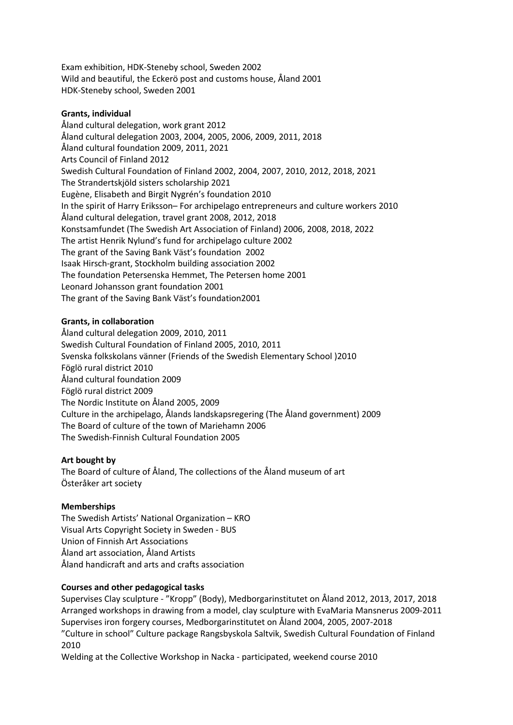Exam exhibition, HDK-Steneby school, Sweden 2002 Wild and beautiful, the Eckerö post and customs house, Åland 2001 HDK-Steneby school, Sweden 2001

#### **Grants, individual**

Åland cultural delegation, work grant 2012 Åland cultural delegation 2003, 2004, 2005, 2006, 2009, 2011, 2018 Åland cultural foundation 2009, 2011, 2021 Arts Council of Finland 2012 Swedish Cultural Foundation of Finland 2002, 2004, 2007, 2010, 2012, 2018, 2021 The Strandertskjöld sisters scholarship 2021 Eugène, Elisabeth and Birgit Nygrén's foundation 2010 In the spirit of Harry Eriksson– For archipelago entrepreneurs and culture workers 2010 Åland cultural delegation, travel grant 2008, 2012, 2018 Konstsamfundet (The Swedish Art Association of Finland) 2006, 2008, 2018, 2022 The artist Henrik Nylund's fund for archipelago culture 2002 The grant of the Saving Bank Väst's foundation 2002 Isaak Hirsch-grant, Stockholm building association 2002 The foundation Petersenska Hemmet, The Petersen home 2001 Leonard Johansson grant foundation 2001 The grant of the Saving Bank Väst's foundation2001

#### **Grants, in collaboration**

Åland cultural delegation 2009, 2010, 2011 Swedish Cultural Foundation of Finland 2005, 2010, 2011 Svenska folkskolans vänner (Friends of the Swedish Elementary School )2010 Föglö rural district 2010 Åland cultural foundation 2009 Föglö rural district 2009 The Nordic Institute on Åland 2005, 2009 Culture in the archipelago, Ålands landskapsregering (The Åland government) 2009 The Board of culture of the town of Mariehamn 2006 The Swedish-Finnish Cultural Foundation 2005

# **Art bought by**

The Board of culture of Åland, The collections of the Åland museum of art Österåker art society

# **Memberships**

The Swedish Artists' National Organization – KRO Visual Arts Copyright Society in Sweden - BUS Union of Finnish Art Associations Åland art association, Åland Artists Åland handicraft and arts and crafts association

# **Courses and other pedagogical tasks**

Supervises Clay sculpture - "Kropp" (Body), Medborgarinstitutet on Åland 2012, 2013, 2017, 2018 Arranged workshops in drawing from a model, clay sculpture with EvaMaria Mansnerus 2009-2011 Supervises iron forgery courses, Medborgarinstitutet on Åland 2004, 2005, 2007-2018 "Culture in school" Culture package Rangsbyskola Saltvik, Swedish Cultural Foundation of Finland 2010

Welding at the Collective Workshop in Nacka - participated, weekend course 2010